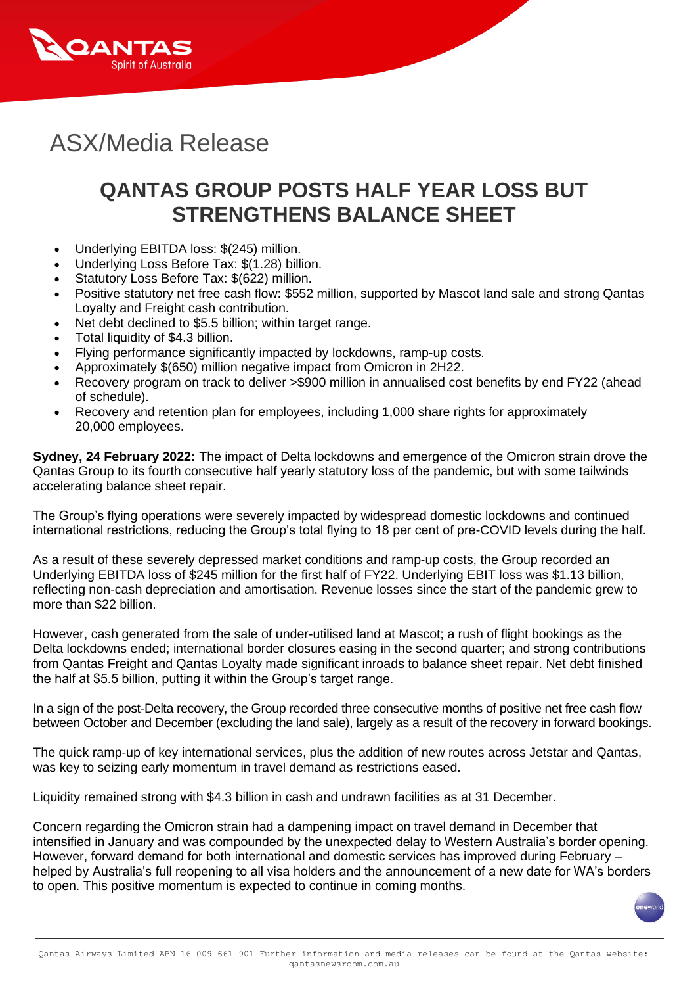

# ASX/Media Release

# **QANTAS GROUP POSTS HALF YEAR LOSS BUT STRENGTHENS BALANCE SHEET**

- Underlying EBITDA loss: \$(245) million.
- Underlying Loss Before Tax: \$(1.28) billion.
- Statutory Loss Before Tax: \$(622) million.
- Positive statutory net free cash flow: \$552 million, supported by Mascot land sale and strong Qantas Loyalty and Freight cash contribution.
- Net debt declined to \$5.5 billion; within target range.
- Total liquidity of \$4.3 billion.
- Flying performance significantly impacted by lockdowns, ramp-up costs.
- Approximately \$(650) million negative impact from Omicron in 2H22.
- Recovery program on track to deliver >\$900 million in annualised cost benefits by end FY22 (ahead of schedule).
- Recovery and retention plan for employees, including 1,000 share rights for approximately 20,000 employees.

**Sydney, 24 February 2022:** The impact of Delta lockdowns and emergence of the Omicron strain drove the Qantas Group to its fourth consecutive half yearly statutory loss of the pandemic, but with some tailwinds accelerating balance sheet repair.

The Group's flying operations were severely impacted by widespread domestic lockdowns and continued international restrictions, reducing the Group's total flying to 18 per cent of pre-COVID levels during the half.

As a result of these severely depressed market conditions and ramp-up costs, the Group recorded an Underlying EBITDA loss of \$245 million for the first half of FY22. Underlying EBIT loss was \$1.13 billion, reflecting non-cash depreciation and amortisation. Revenue losses since the start of the pandemic grew to more than \$22 billion.

However, cash generated from the sale of under-utilised land at Mascot; a rush of flight bookings as the Delta lockdowns ended; international border closures easing in the second quarter; and strong contributions from Qantas Freight and Qantas Loyalty made significant inroads to balance sheet repair. Net debt finished the half at \$5.5 billion, putting it within the Group's target range.

In a sign of the post-Delta recovery, the Group recorded three consecutive months of positive net free cash flow between October and December (excluding the land sale), largely as a result of the recovery in forward bookings.

The quick ramp-up of key international services, plus the addition of new routes across Jetstar and Qantas, was key to seizing early momentum in travel demand as restrictions eased.

Liquidity remained strong with \$4.3 billion in cash and undrawn facilities as at 31 December.

Concern regarding the Omicron strain had a dampening impact on travel demand in December that intensified in January and was compounded by the unexpected delay to Western Australia's border opening. However, forward demand for both international and domestic services has improved during February – helped by Australia's full reopening to all visa holders and the announcement of a new date for WA's borders to open. This positive momentum is expected to continue in coming months.

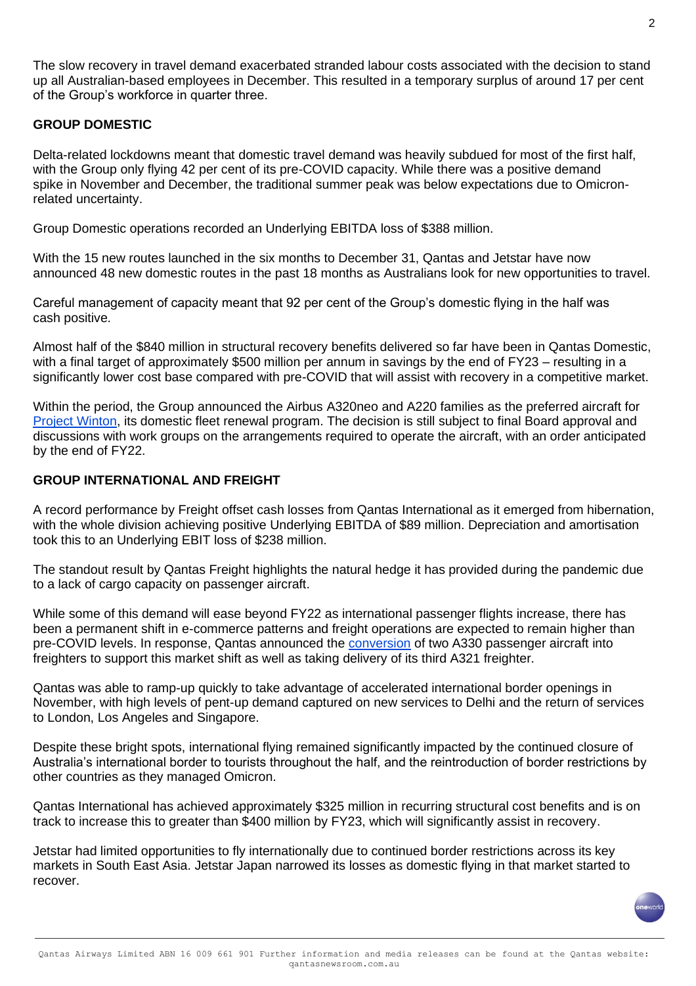The slow recovery in travel demand exacerbated stranded labour costs associated with the decision to stand up all Australian-based employees in December. This resulted in a temporary surplus of around 17 per cent of the Group's workforce in quarter three.

#### **GROUP DOMESTIC**

Delta-related lockdowns meant that domestic travel demand was heavily subdued for most of the first half, with the Group only flying 42 per cent of its pre-COVID capacity. While there was a positive demand spike in November and December, the traditional summer peak was below expectations due to Omicronrelated uncertainty.

Group Domestic operations recorded an Underlying EBITDA loss of \$388 million.

With the 15 new routes launched in the six months to December 31, Qantas and Jetstar have now announced 48 new domestic routes in the past 18 months as Australians look for new opportunities to travel.

Careful management of capacity meant that 92 per cent of the Group's domestic flying in the half was cash positive.

Almost half of the \$840 million in structural recovery benefits delivered so far have been in Qantas Domestic, with a final target of approximately \$500 million per annum in savings by the end of FY23 – resulting in a significantly lower cost base compared with pre-COVID that will assist with recovery in a competitive market.

Within the period, the Group announced the Airbus A320neo and A220 families as the preferred aircraft for [Project Winton,](https://www.qantasnewsroom.com.au/media-releases/qantas-finalising-10-year-program-to-renew-domestic-fleet/) its domestic fleet renewal program. The decision is still subject to final Board approval and discussions with work groups on the arrangements required to operate the aircraft, with an order anticipated by the end of FY22.

#### **GROUP INTERNATIONAL AND FREIGHT**

A record performance by Freight offset cash losses from Qantas International as it emerged from hibernation, with the whole division achieving positive Underlying EBITDA of \$89 million. Depreciation and amortisation took this to an Underlying EBIT loss of \$238 million.

The standout result by Qantas Freight highlights the natural hedge it has provided during the pandemic due to a lack of cargo capacity on passenger aircraft.

While some of this demand will ease beyond FY22 as international passenger flights increase, there has been a permanent shift in e-commerce patterns and freight operations are expected to remain higher than pre-COVID levels. In response, Qantas announced the [conversion](https://www.qantasnewsroom.com.au/media-releases/qantas-announces-two-widebody-freighters-to-meet-permanent-increase-in-e-commerce-demand/) of two A330 passenger aircraft into freighters to support this market shift as well as taking delivery of its third A321 freighter.

Qantas was able to ramp-up quickly to take advantage of accelerated international border openings in November, with high levels of pent-up demand captured on new services to Delhi and the return of services to London, Los Angeles and Singapore.

Despite these bright spots, international flying remained significantly impacted by the continued closure of Australia's international border to tourists throughout the half, and the reintroduction of border restrictions by other countries as they managed Omicron.

Qantas International has achieved approximately \$325 million in recurring structural cost benefits and is on track to increase this to greater than \$400 million by FY23, which will significantly assist in recovery.

Jetstar had limited opportunities to fly internationally due to continued border restrictions across its key markets in South East Asia. Jetstar Japan narrowed its losses as domestic flying in that market started to recover.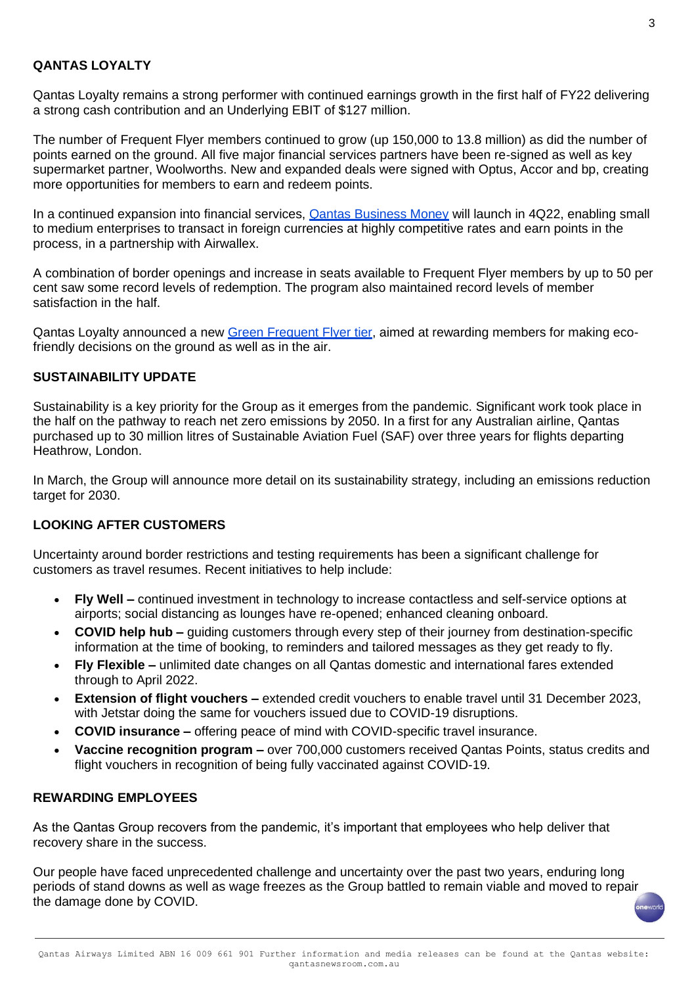### **QANTAS LOYALTY**

Qantas Loyalty remains a strong performer with continued earnings growth in the first half of FY22 delivering a strong cash contribution and an Underlying EBIT of \$127 million.

The number of Frequent Flyer members continued to grow (up 150,000 to 13.8 million) as did the number of points earned on the ground. All five major financial services partners have been re-signed as well as key supermarket partner, Woolworths. New and expanded deals were signed with Optus, Accor and bp, creating more opportunities for members to earn and redeem points.

In a continued expansion into financial services, **Qantas Business Money will launch in 4Q22**, enabling small to medium enterprises to transact in foreign currencies at highly competitive rates and earn points in the process, in a partnership with Airwallex.

A combination of border openings and increase in seats available to Frequent Flyer members by up to 50 per cent saw some record levels of redemption. The program also maintained record levels of member satisfaction in the half.

Qantas Loyalty announced a new [Green Frequent Flyer tier,](https://www.qantasnewsroom.com.au/media-releases/qantas-frequent-flyers-to-be-rewarded-for-being-sustainable/) aimed at rewarding members for making ecofriendly decisions on the ground as well as in the air.

#### **SUSTAINABILITY UPDATE**

Sustainability is a key priority for the Group as it emerges from the pandemic. Significant work took place in the half on the pathway to reach net zero emissions by 2050. In a first for any Australian airline, Qantas purchased up to 30 million litres of Sustainable Aviation Fuel (SAF) over three years for flights departing Heathrow, London.

In March, the Group will announce more detail on its sustainability strategy, including an emissions reduction target for 2030.

## **LOOKING AFTER CUSTOMERS**

Uncertainty around border restrictions and testing requirements has been a significant challenge for customers as travel resumes. Recent initiatives to help include:

- **Fly Well –** continued investment in technology to increase contactless and self-service options at airports; social distancing as lounges have re-opened; enhanced cleaning onboard.
- **COVID help hub –** guiding customers through every step of their journey from destination-specific information at the time of booking, to reminders and tailored messages as they get ready to fly.
- **Fly Flexible –** unlimited date changes on all Qantas domestic and international fares extended through to April 2022.
- **Extension of flight vouchers –** extended credit vouchers to enable travel until 31 December 2023, with Jetstar doing the same for vouchers issued due to COVID-19 disruptions.
- **COVID insurance –** offering peace of mind with COVID-specific travel insurance.
- **Vaccine recognition program –** over 700,000 customers received Qantas Points, status credits and flight vouchers in recognition of being fully vaccinated against COVID-19.

#### **REWARDING EMPLOYEES**

As the Qantas Group recovers from the pandemic, it's important that employees who help deliver that recovery share in the success.

Our people have faced unprecedented challenge and uncertainty over the past two years, enduring long periods of stand downs as well as wage freezes as the Group battled to remain viable and moved to repair the damage done by COVID.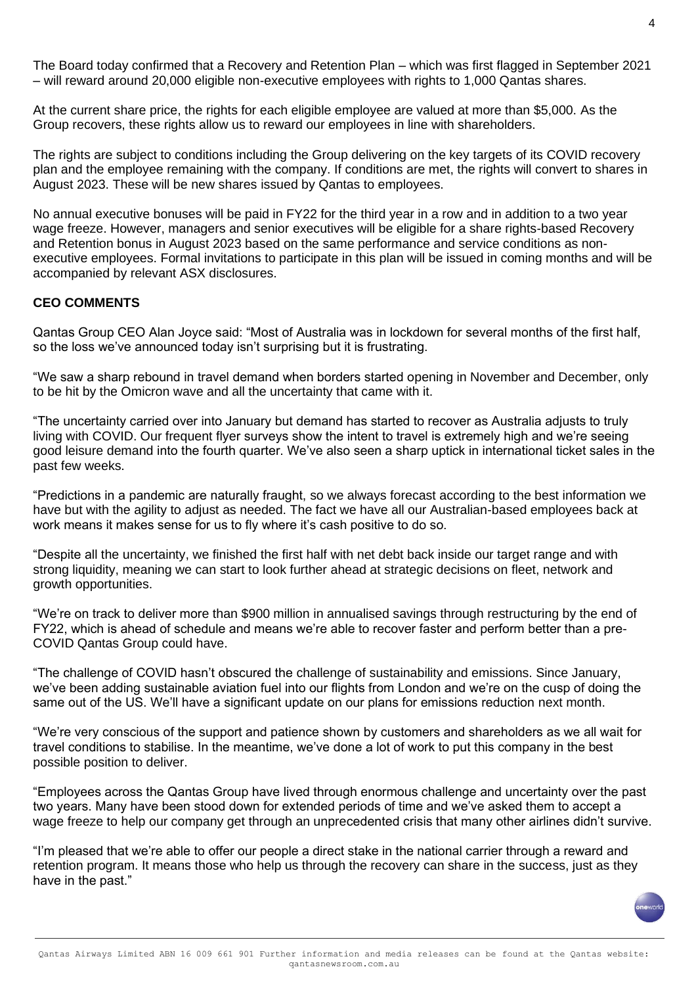The Board today confirmed that a Recovery and Retention Plan – which was first flagged in September 2021 – will reward around 20,000 eligible non-executive employees with rights to 1,000 Qantas shares.

At the current share price, the rights for each eligible employee are valued at more than \$5,000. As the Group recovers, these rights allow us to reward our employees in line with shareholders.

The rights are subject to conditions including the Group delivering on the key targets of its COVID recovery plan and the employee remaining with the company. If conditions are met, the rights will convert to shares in August 2023. These will be new shares issued by Qantas to employees.

No annual executive bonuses will be paid in FY22 for the third year in a row and in addition to a two year wage freeze. However, managers and senior executives will be eligible for a share rights-based Recovery and Retention bonus in August 2023 based on the same performance and service conditions as nonexecutive employees. Formal invitations to participate in this plan will be issued in coming months and will be accompanied by relevant ASX disclosures.

#### **CEO COMMENTS**

Qantas Group CEO Alan Joyce said: "Most of Australia was in lockdown for several months of the first half, so the loss we've announced today isn't surprising but it is frustrating.

"We saw a sharp rebound in travel demand when borders started opening in November and December, only to be hit by the Omicron wave and all the uncertainty that came with it.

"The uncertainty carried over into January but demand has started to recover as Australia adjusts to truly living with COVID. Our frequent flyer surveys show the intent to travel is extremely high and we're seeing good leisure demand into the fourth quarter. We've also seen a sharp uptick in international ticket sales in the past few weeks.

"Predictions in a pandemic are naturally fraught, so we always forecast according to the best information we have but with the agility to adjust as needed. The fact we have all our Australian-based employees back at work means it makes sense for us to fly where it's cash positive to do so.

"Despite all the uncertainty, we finished the first half with net debt back inside our target range and with strong liquidity, meaning we can start to look further ahead at strategic decisions on fleet, network and growth opportunities.

"We're on track to deliver more than \$900 million in annualised savings through restructuring by the end of FY22, which is ahead of schedule and means we're able to recover faster and perform better than a pre-COVID Qantas Group could have.

"The challenge of COVID hasn't obscured the challenge of sustainability and emissions. Since January, we've been adding sustainable aviation fuel into our flights from London and we're on the cusp of doing the same out of the US. We'll have a significant update on our plans for emissions reduction next month.

"We're very conscious of the support and patience shown by customers and shareholders as we all wait for travel conditions to stabilise. In the meantime, we've done a lot of work to put this company in the best possible position to deliver.

"Employees across the Qantas Group have lived through enormous challenge and uncertainty over the past two years. Many have been stood down for extended periods of time and we've asked them to accept a wage freeze to help our company get through an unprecedented crisis that many other airlines didn't survive.

"I'm pleased that we're able to offer our people a direct stake in the national carrier through a reward and retention program. It means those who help us through the recovery can share in the success, just as they have in the past."